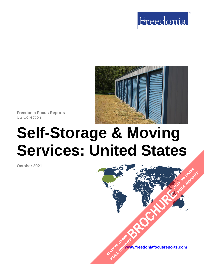



**Freedonia Focus Reports** US Collection

# **Self-Storage & Moving Services: United States**

**October 2021**

**[www.freedoniafocusreports.com](https://www.freedoniafocusreports.com/redirect.asp?progid=89534&url=/)** CLICK TO ORDER **FULL REPORT** 

**[BROCHURE](https://www.freedoniafocusreports.com/Self-Storage-Moving-Services-United-States-FF95030/?progid=89541) CLICK TO ORDER** 

FULL REPORT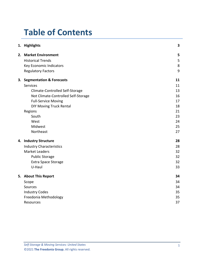# **Table of Contents**

|  | 1. Highlights                       | 3  |
|--|-------------------------------------|----|
|  | 2. Market Environment               | 5  |
|  | <b>Historical Trends</b>            | 5  |
|  | Key Economic Indicators             | 8  |
|  | <b>Regulatory Factors</b>           | 9  |
|  | 3. Segmentation & Forecasts         | 11 |
|  | Services                            | 11 |
|  | Climate-Controlled Self-Storage     | 13 |
|  | Not Climate-Controlled Self-Storage | 16 |
|  | <b>Full-Service Moving</b>          | 17 |
|  | <b>DIY Moving Truck Rental</b>      | 18 |
|  | Regions                             | 21 |
|  | South                               | 23 |
|  | West                                | 24 |
|  | Midwest                             | 25 |
|  | Northeast                           | 27 |
|  | 4. Industry Structure               | 28 |
|  | <b>Industry Characteristics</b>     | 28 |
|  | <b>Market Leaders</b>               | 32 |
|  | <b>Public Storage</b>               | 32 |
|  | <b>Extra Space Storage</b>          | 32 |
|  | U-Haul                              | 33 |
|  | 5. About This Report                | 34 |
|  | Scope                               | 34 |
|  | Sources                             | 34 |
|  | <b>Industry Codes</b>               | 35 |
|  | Freedonia Methodology               | 35 |
|  | Resources                           | 37 |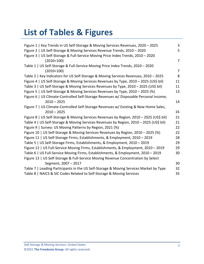# **List of Tables & Figures**

| Figure 1   Key Trends in US Self-Storage & Moving Services Revenues, 2020 - 2025        | 3              |
|-----------------------------------------------------------------------------------------|----------------|
| Figure 2   US Self-Storage & Moving Services Revenue Trends, 2010 - 2020                | 5              |
| Figure 3   US Self-Storage & Full-Service Moving Price Index Trends, 2010 - 2020        |                |
| $(2010=100)$                                                                            | $\overline{7}$ |
| Table 1   US Self-Storage & Full-Service Moving Price Index Trends, 2010 - 2020         |                |
| $(2010=100)$                                                                            | $\overline{7}$ |
| Table 2   Key Indicators for US Self-Storage & Moving Services Revenues, 2010 - 2025    | 8              |
| Figure 4   US Self-Storage & Moving Services Revenues by Type, 2010 - 2025 (US\$ bil)   | 11             |
| Table 3   US Self-Storage & Moving Services Revenues by Type, 2010 - 2025 (US\$ bil)    | 11             |
| Figure 5   US Self-Storage & Moving Services Revenues by Type, 2010 - 2025 (%)          | 13             |
| Figure 6   US Climate-Controlled Self-Storage Revenues w/ Disposable Personal Income,   |                |
| $2010 - 2025$                                                                           | 14             |
| Figure 7   US Climate-Controlled Self-Storage Revenues w/ Existing & New Home Sales,    |                |
| $2010 - 2025$                                                                           | 16             |
| Figure 8   US Self-Storage & Moving Services Revenues by Region, 2010 - 2025 (US\$ bil) | 21             |
| Table 4   US Self-Storage & Moving Services Revenues by Region, 2010 - 2025 (US\$ bil)  | 21             |
| Figure 9   Survey: US Moving Patterns by Region, 2021 (%)                               | 22             |
| Figure 10   US Self-Storage & Moving Services Revenues by Region, 2010 - 2025 (%)       | 22             |
| Figure 11   US Self-Storage Firms, Establishments, & Employment, 2010 - 2019            | 28             |
| Table 5   US Self-Storage Firms, Establishments, & Employment, 2010 - 2019              | 29             |
| Figure 12   US Full-Service Moving Firms, Establishments, & Employment, 2010 - 2019     | 29             |
| Table 6   US Full-Service Moving Firms, Establishments, & Employment, 2010 - 2019       | 30             |
| Figure 13   US Self-Storage & Full-Service Moving Revenue Concentration by Select       |                |
| Segment, 2007 - 2017                                                                    | 30             |
| Table 7   Leading Participants in the US Self-Storage & Moving Services Market by Type  | 32             |
| Table 8   NAICS & SIC Codes Related to Self-Storage & Moving Services                   | 35             |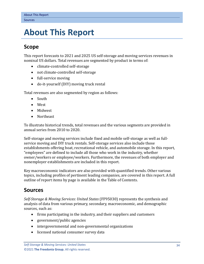# <span id="page-3-0"></span>**5. About This Report**

## <span id="page-3-1"></span>**Scope**

This report forecasts to 2021 and 2025 US self-storage and moving services revenues in nominal US dollars. Total revenues are segmented by product in terms of:

- climate-controlled self-storage
- not climate-controlled self-storage
- full-service moving
- do-it-yourself (DIY) moving truck rental

Total revenues are also segmented by region as follows:

- South
- West
- Midwest
- Northeast

To illustrate historical trends, total revenues and the various segments are provided in annual series from 2010 to 2020.

Self-storage and moving services include fixed and mobile self-storage as well as fullservice moving and DIY truck rentals. Self-storage services also include those establishments offering boat, recreational vehicle, and automobile storage. In this report, "employees" are defined to include all those who work in the industry, whether owner/workers or employee/workers. Furthermore, the revenues of both employer and nonemployer establishments are included in this report.

Key macroeconomic indicators are also provided with quantified trends. Other various topics, including profiles of pertinent leading companies, are covered in this report. A full outline of report items by page is available in the Table of Contents.

## <span id="page-3-2"></span>**Sources**

*Self-Storage & Moving Services: United States* (FF95030) represents the synthesis and analysis of data from various primary, secondary, macroeconomic, and demographic sources, such as:

- firms participating in the industry, and their suppliers and customers
- government/public agencies
- intergovernmental and non-governmental organizations
- licensed national consumer survey data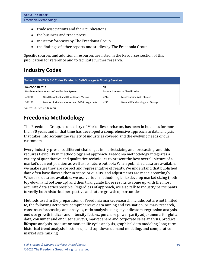- trade associations and their publications
- the business and trade press
- indicator forecasts by The Freedonia Group
- the findings of other reports and studies by The Freedonia Group

Specific sources and additional resources are listed in the Resources section of this publication for reference and to facilitate further research.

# <span id="page-4-0"></span>**Industry Codes**

<span id="page-4-2"></span>

| Table 8   NAICS & SIC Codes Related to Self-Storage & Moving Services |                                                  |                                                         |                                 |        |                                        |      |                             |
|-----------------------------------------------------------------------|--------------------------------------------------|---------------------------------------------------------|---------------------------------|--------|----------------------------------------|------|-----------------------------|
| NAICS/SCIAN 2017<br>North American Industry Classification System     |                                                  | <b>SIC</b><br><b>Standard Industrial Classification</b> |                                 |        |                                        |      |                             |
|                                                                       |                                                  |                                                         |                                 | 484210 | Used Household and Office Goods Moving | 4214 | Local Trucking With Storage |
| 531130                                                                | Lessors of Miniwarehouses and Self-Storage Units | 4225                                                    | General Warehousing and Storage |        |                                        |      |                             |

Source: US Census Bureau

# <span id="page-4-1"></span>**Freedonia Methodology**

The Freedonia Group, a subsidiary of MarketResearch.com, has been in business for more than 30 years and in that time has developed a comprehensive approach to data analysis that takes into account the variety of industries covered and the evolving needs of our customers.

Every industry presents different challenges in market sizing and forecasting, and this requires flexibility in methodology and approach. Freedonia methodology integrates a variety of quantitative and qualitative techniques to present the best overall picture of a market's current position as well as its future outlook: When published data are available, we make sure they are correct and representative of reality. We understand that published data often have flaws either in scope or quality, and adjustments are made accordingly. Where no data are available, we use various methodologies to develop market sizing (both top-down and bottom-up) and then triangulate those results to come up with the most accurate data series possible. Regardless of approach, we also talk to industry participants to verify both historical perspective and future growth opportunities.

Methods used in the preparation of Freedonia market research include, but are not limited to, the following activities: comprehensive data mining and evaluation, primary research, consensus forecasting and analysis, ratio analysis using key indicators, regression analysis, end use growth indices and intensity factors, purchase power parity adjustments for global data, consumer and end user surveys, market share and corporate sales analysis, product lifespan analysis, product or market life cycle analysis, graphical data modeling, long-term historical trend analysis, bottom-up and top-down demand modeling, and comparative market size ranking.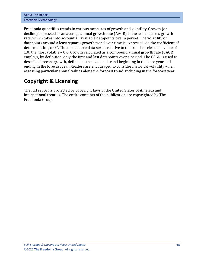| <b>About This Report</b> |
|--------------------------|
| Freedonia Methodology    |

Freedonia quantifies trends in various measures of growth and volatility. Growth (or decline) expressed as an average annual growth rate (AAGR) is the least squares growth rate, which takes into account all available datapoints over a period. The volatility of datapoints around a least squares growth trend over time is expressed via the coefficient of determination, or  $r^2$ . The most stable data series relative to the trend carries an  $r^2$  value of 1.0; the most volatile – 0.0. Growth calculated as a compound annual growth rate (CAGR) employs, by definition, only the first and last datapoints over a period. The CAGR is used to describe forecast growth, defined as the expected trend beginning in the base year and ending in the forecast year. Readers are encouraged to consider historical volatility when assessing particular annual values along the forecast trend, including in the forecast year.

## **Copyright & Licensing**

The full report is protected by copyright laws of the United States of America and international treaties. The entire contents of the publication are copyrighted by The Freedonia Group.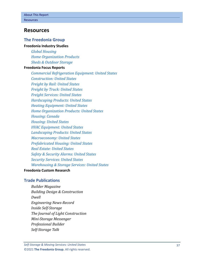### <span id="page-6-0"></span>**Resources**

#### **The Freedonia Group**

#### **[Freedonia Industry Studies](http://www.freedoniagroup.com/Home.aspx?ReferrerId=FL-Focus)**

*[Global Housing](http://www.freedoniagroup.com/DocumentDetails.aspx?ReferrerId=FL-FOCUS&studyid=3877) [Home Organization Products](http://www.freedoniagroup.com/DocumentDetails.aspx?ReferrerId=FL-FOCUS&studyid=4142) [Sheds & Outdoor Storage](http://www.freedoniagroup.com/DocumentDetails.aspx?ReferrerId=FL-FOCUS&studyid=3723)*

#### **[Freedonia Focus Reports](https://www.freedoniafocusreports.com/redirect.asp?progid=89534&url=/)**

*[Commercial Refrigeration Equipment: United States](https://www.freedoniafocusreports.com/Commercial-Refrigeration-Equipment-United-States-FF75012/?progid=89534) [Construction: United States](https://www.freedoniafocusreports.com/Construction-United-States-FF60054/?progid=89534) [Freight by Rail: United States](https://www.freedoniafocusreports.com/Freight-by-Rail-United-States-FF85019/?progid=89534) [Freight by Truck: United States](https://www.freedoniafocusreports.com/Freight-by-Truck-United-States-FF85026/?progid=89534) [Freight Services: United States](https://www.freedoniafocusreports.com/Freight-Services-United-States-FF95064/?progid=89534) [Hardscaping Products: United States](https://www.freedoniafocusreports.com/Hardscaping-Products-United-States-FF60117/?progid=89534) [Heating Equipment: United States](https://www.freedoniafocusreports.com/Heating-Equipment-United-States-FF75047/?progid=89534) [Home Organization Products: United States](https://www.freedoniafocusreports.com/Home-Organization-Products-United-States-FF90034/?progid=89534) [Housing: Canada](https://www.freedoniafocusreports.com/Housing-Canada-FA60024/?progid=89534) [Housing: United States](https://www.freedoniafocusreports.com/Housing-United-States-FF60024/?progid=89534) [HVAC Equipment: United States](https://www.freedoniafocusreports.com/HVAC-Equipment-United-States-FF75034/?progid=89534) [Landscaping Products: United States](https://www.freedoniafocusreports.com/Landscaping-Products-United-States-FF60057/?progid=89534) [Macroeconomy: United States](https://www.freedoniafocusreports.com/Macroeconomy-United-States-FF95051/?progid=89534) [Prefabricated Housing: United States](https://www.freedoniafocusreports.com/Prefabricated-Housing-United-States-FF60031/?progid=89534) [Real Estate: United States](https://www.freedoniafocusreports.com/Real-Estate-United-States-FF95081/?progid=89534) [Safety & Security Alarms: United States](https://www.freedoniafocusreports.com/Safety-Security-Alarms-United-States-FF80050/?progid=89534) [Security Services: United States](https://www.freedoniafocusreports.com/Security-Services-United-States-FF80034/?progid=89534) [Warehousing & Storage Services: United States](https://www.freedoniafocusreports.com/Warehousing-Storage-Services-United-States-FF95041/?progid=89534)*

#### **[Freedonia Custom Research](http://www.freedoniagroup.com/CustomResearch.aspx?ReferrerId=FL-Focus)**

#### **Trade Publications**

*Builder Magazine Building Design & Construction Dwell Engineering News-Record Inside Self-Storage The Journal of Light Construction Mini-Storage Messenger Professional Builder Self-Storage Talk*